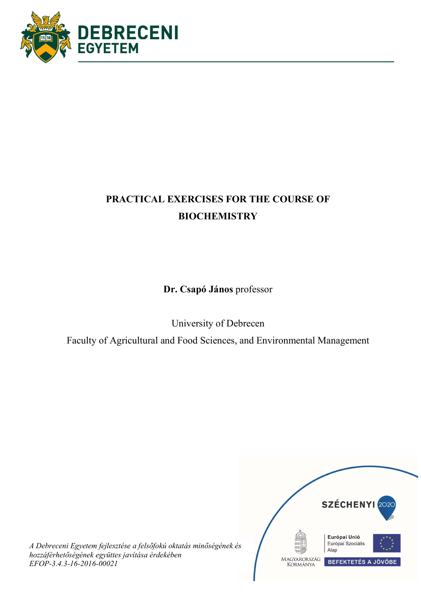

# PRACTICAL EXERCISES FOR THE COURSE OF **BIOCHEMISTRY**

Dr. Csapó János professor

University of Debrecen

Faculty of Agricultural and Food Sciences, and Environmental Management



A Debreceni Egyetem fejlesztése a felsőfokú oktatás minőségének és hozzáférhetőségének együttes javítása érdekében EFOP-3.4.3-16-2016-00021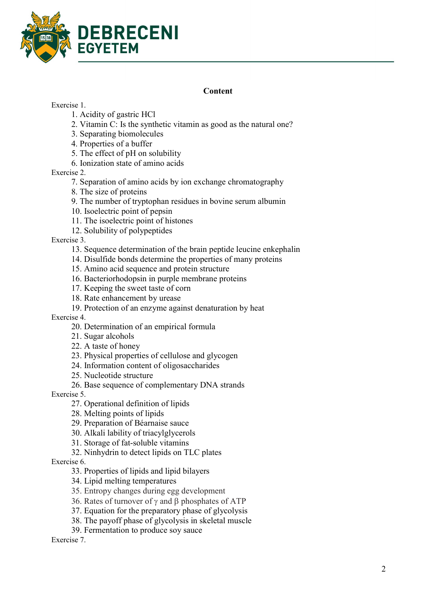

### **Content**

### Exercise 1.

- 1. Acidity of gastric HCl
- 2. Vitamin C: Is the synthetic vitamin as good as the natural one?
- 3. Separating biomolecules
- 4. Properties of a buffer
- 5. The effect of pH on solubility
- 6. Ionization state of amino acids

Exercise 2.

- 7. Separation of amino acids by ion exchange chromatography
- 8. The size of proteins
- 9. The number of tryptophan residues in bovine serum albumin
- 10. Isoelectric point of pepsin
- 11. The isoelectric point of histones
- 12. Solubility of polypeptides

Exercise 3.

- 13. Sequence determination of the brain peptide leucine enkephalin
- 14. Disulfide bonds determine the properties of many proteins
- 15. Amino acid sequence and protein structure
- 16. Bacteriorhodopsin in purple membrane proteins
- 17. Keeping the sweet taste of corn
- 18. Rate enhancement by urease
- 19. Protection of an enzyme against denaturation by heat

Exercise 4.

- 20. Determination of an empirical formula
- 21. Sugar alcohols

22. A taste of honey

- 23. Physical properties of cellulose and glycogen
- 24. Information content of oligosaccharides
- 25. Nucleotide structure
- 26. Base sequence of complementary DNA strands

Exercise 5.

- 27. Operational definition of lipids
- 28. Melting points of lipids
- 29. Preparation of Béarnaise sauce
- 30. Alkali lability of triacylglycerols
- 31. Storage of fat-soluble vitamins
- 32. Ninhydrin to detect lipids on TLC plates

Exercise 6.

- 33. Properties of lipids and lipid bilayers
- 34. Lipid melting temperatures
- 35. Entropy changes during egg development
- 36. Rates of turnover of  $\gamma$  and  $\beta$  phosphates of ATP
- 37. Equation for the preparatory phase of glycolysis
- 38. The payoff phase of glycolysis in skeletal muscle
- 39. Fermentation to produce soy sauce

Exercise 7.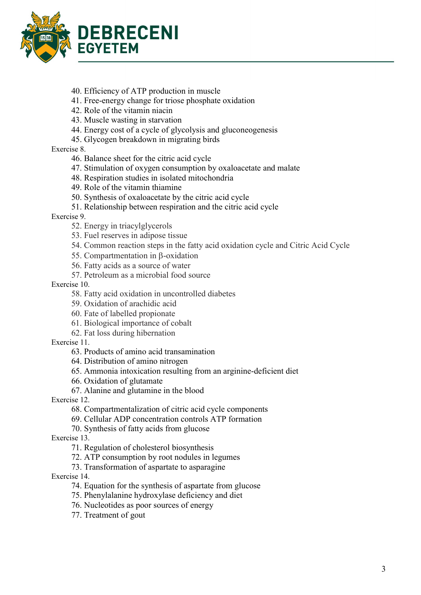

- 40. Efficiency of ATP production in muscle
- 41. Free-energy change for triose phosphate oxidation
- 42. Role of the vitamin niacin
- 43. Muscle wasting in starvation
- 44. Energy cost of a cycle of glycolysis and gluconeogenesis
- 45. Glycogen breakdown in migrating birds

Exercise 8.

- 46. Balance sheet for the citric acid cycle
- 47. Stimulation of oxygen consumption by oxaloacetate and malate
- 48. Respiration studies in isolated mitochondria
- 49. Role of the vitamin thiamine
- 50. Synthesis of oxaloacetate by the citric acid cycle
- 51. Relationship between respiration and the citric acid cycle

Exercise 9.

- 52. Energy in triacylglycerols
- 53. Fuel reserves in adipose tissue
- 54. Common reaction steps in the fatty acid oxidation cycle and Citric Acid Cycle
- 55. Compartmentation in  $\beta$ -oxidation
- 56. Fatty acids as a source of water
- 57. Petroleum as a microbial food source

Exercise 10.

- 58. Fatty acid oxidation in uncontrolled diabetes
- 59. Oxidation of arachidic acid
- 60. Fate of labelled propionate
- 61. Biological importance of cobalt
- 62. Fat loss during hibernation

Exercise 11.

63. Products of amino acid transamination

64. Distribution of amino nitrogen

65. Ammonia intoxication resulting from an arginine-deficient diet

66. Oxidation of glutamate

67. Alanine and glutamine in the blood

Exercise 12.

- 68. Compartmentalization of citric acid cycle components
- 69. Cellular ADP concentration controls ATP formation
- 70. Synthesis of fatty acids from glucose

Exercise 13.

- 71. Regulation of cholesterol biosynthesis
- 72. ATP consumption by root nodules in legumes
- 73. Transformation of aspartate to asparagine

Exercise 14.

- 74. Equation for the synthesis of aspartate from glucose
- 75. Phenylalanine hydroxylase deficiency and diet
- 76. Nucleotides as poor sources of energy
- 77. Treatment of gout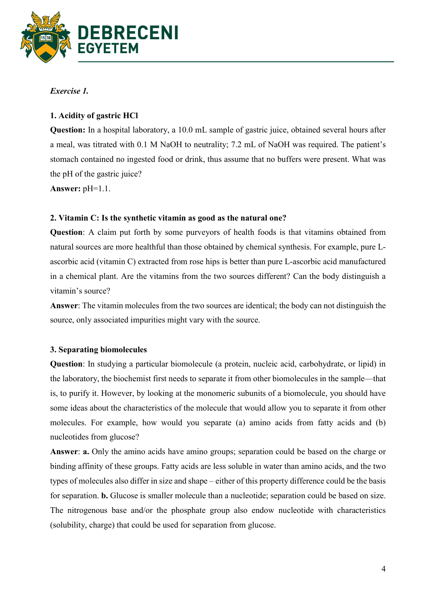

# Exercise 1.

# 1. Acidity of gastric HCl

Question: In a hospital laboratory, a 10.0 mL sample of gastric juice, obtained several hours after a meal, was titrated with 0.1 M NaOH to neutrality; 7.2 mL of NaOH was required. The patient's stomach contained no ingested food or drink, thus assume that no buffers were present. What was the pH of the gastric juice?

Answer: pH=1.1.

### 2. Vitamin C: Is the synthetic vitamin as good as the natural one?

Question: A claim put forth by some purveyors of health foods is that vitamins obtained from natural sources are more healthful than those obtained by chemical synthesis. For example, pure Lascorbic acid (vitamin C) extracted from rose hips is better than pure L-ascorbic acid manufactured in a chemical plant. Are the vitamins from the two sources different? Can the body distinguish a vitamin's source?

Answer: The vitamin molecules from the two sources are identical; the body can not distinguish the source, only associated impurities might vary with the source.

### 3. Separating biomolecules

Question: In studying a particular biomolecule (a protein, nucleic acid, carbohydrate, or lipid) in the laboratory, the biochemist first needs to separate it from other biomolecules in the sample—that is, to purify it. However, by looking at the monomeric subunits of a biomolecule, you should have some ideas about the characteristics of the molecule that would allow you to separate it from other molecules. For example, how would you separate (a) amino acids from fatty acids and (b) nucleotides from glucose?

Answer: a. Only the amino acids have amino groups; separation could be based on the charge or binding affinity of these groups. Fatty acids are less soluble in water than amino acids, and the two types of molecules also differ in size and shape – either of this property difference could be the basis for separation. b. Glucose is smaller molecule than a nucleotide; separation could be based on size. The nitrogenous base and/or the phosphate group also endow nucleotide with characteristics (solubility, charge) that could be used for separation from glucose.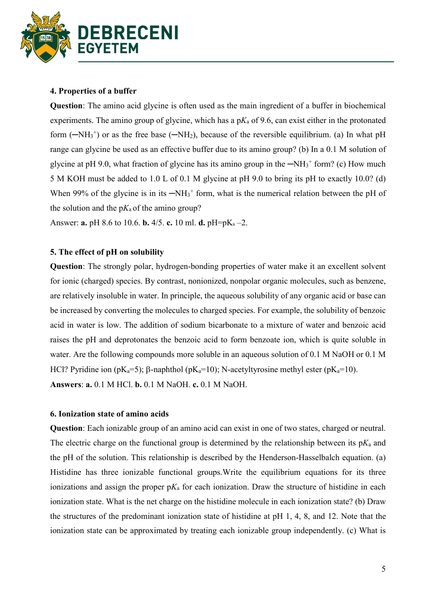

### 4. Properties of a buffer

Question: The amino acid glycine is often used as the main ingredient of a buffer in biochemical experiments. The amino group of glycine, which has a  $pK_a$  of 9.6, can exist either in the protonated form  $(-NH<sub>3</sub><sup>+</sup>)$  or as the free base  $(-NH<sub>2</sub>)$ , because of the reversible equilibrium. (a) In what pH range can glycine be used as an effective buffer due to its amino group? (b) In a 0.1 M solution of glycine at pH 9.0, what fraction of glycine has its amino group in the  $-NH<sub>3</sub><sup>+</sup>$  form? (c) How much 5 M KOH must be added to 1.0 L of 0.1 M glycine at pH 9.0 to bring its pH to exactly 10.0? (d) When 99% of the glycine is in its  $-NH_3$ <sup>+</sup> form, what is the numerical relation between the pH of the solution and the  $pK_a$  of the amino group?

Answer: **a.** pH 8.6 to 10.6. **b.** 4/5. **c.** 10 ml. **d.** pH=pK<sub>s</sub> -2.

### 5. The effect of pH on solubility

Question: The strongly polar, hydrogen-bonding properties of water make it an excellent solvent for ionic (charged) species. By contrast, nonionized, nonpolar organic molecules, such as benzene, are relatively insoluble in water. In principle, the aqueous solubility of any organic acid or base can be increased by converting the molecules to charged species. For example, the solubility of benzoic acid in water is low. The addition of sodium bicarbonate to a mixture of water and benzoic acid raises the pH and deprotonates the benzoic acid to form benzoate ion, which is quite soluble in water. Are the following compounds more soluble in an aqueous solution of 0.1 M NaOH or 0.1 M HCl? Pyridine ion (pK<sub>a</sub>=5);  $\beta$ -naphthol (pK<sub>a</sub>=10); N-acetyltyrosine methyl ester (pK<sub>a</sub>=10). Answers: a. 0.1 M HCl. b. 0.1 M NaOH. c. 0.1 M NaOH.

#### 6. Ionization state of amino acids

Question: Each ionizable group of an amino acid can exist in one of two states, charged or neutral. The electric charge on the functional group is determined by the relationship between its  $pK_a$  and the pH of the solution. This relationship is described by the Henderson-Hasselbalch equation. (a) Histidine has three ionizable functional groups.Write the equilibrium equations for its three ionizations and assign the proper  $pK_a$  for each ionization. Draw the structure of histidine in each ionization state. What is the net charge on the histidine molecule in each ionization state? (b) Draw the structures of the predominant ionization state of histidine at pH 1, 4, 8, and 12. Note that the ionization state can be approximated by treating each ionizable group independently. (c) What is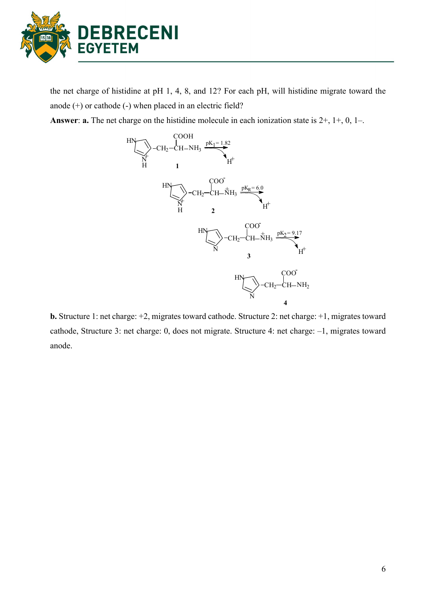

the net charge of histidine at pH 1, 4, 8, and 12? For each pH, will histidine migrate toward the anode (+) or cathode (-) when placed in an electric field?

Answer: **a.** The net charge on the histidine molecule in each ionization state is  $2+, 1+, 0, 1-$ .



b. Structure 1: net charge: +2, migrates toward cathode. Structure 2: net charge: +1, migrates toward cathode, Structure 3: net charge: 0, does not migrate. Structure 4: net charge: –1, migrates toward anode.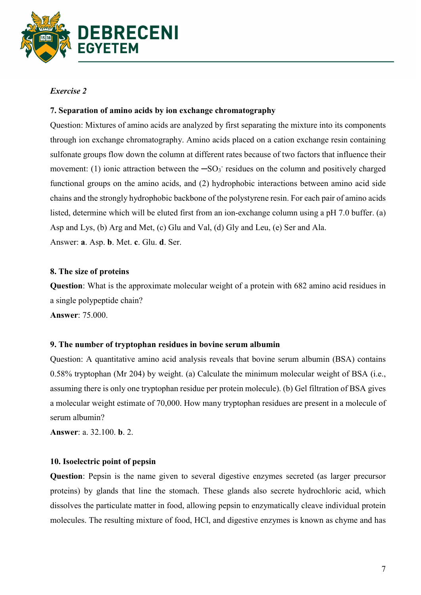

# Exercise 2

# 7. Separation of amino acids by ion exchange chromatography

Question: Mixtures of amino acids are analyzed by first separating the mixture into its components through ion exchange chromatography. Amino acids placed on a cation exchange resin containing sulfonate groups flow down the column at different rates because of two factors that influence their movement: (1) ionic attraction between the  $-SO<sub>3</sub>$  residues on the column and positively charged functional groups on the amino acids, and (2) hydrophobic interactions between amino acid side chains and the strongly hydrophobic backbone of the polystyrene resin. For each pair of amino acids listed, determine which will be eluted first from an ion-exchange column using a pH 7.0 buffer. (a) Asp and Lys, (b) Arg and Met, (c) Glu and Val, (d) Gly and Leu, (e) Ser and Ala. Answer: a. Asp. b. Met. c. Glu. d. Ser.

### 8. The size of proteins

Question: What is the approximate molecular weight of a protein with 682 amino acid residues in a single polypeptide chain? Answer: 75.000.

### 9. The number of tryptophan residues in bovine serum albumin

Question: A quantitative amino acid analysis reveals that bovine serum albumin (BSA) contains 0.58% tryptophan (Mr 204) by weight. (a) Calculate the minimum molecular weight of BSA (i.e., assuming there is only one tryptophan residue per protein molecule). (b) Gel filtration of BSA gives a molecular weight estimate of 70,000. How many tryptophan residues are present in a molecule of serum albumin?

Answer: a. 32.100. b. 2.

### 10. Isoelectric point of pepsin

Question: Pepsin is the name given to several digestive enzymes secreted (as larger precursor proteins) by glands that line the stomach. These glands also secrete hydrochloric acid, which dissolves the particulate matter in food, allowing pepsin to enzymatically cleave individual protein molecules. The resulting mixture of food, HCl, and digestive enzymes is known as chyme and has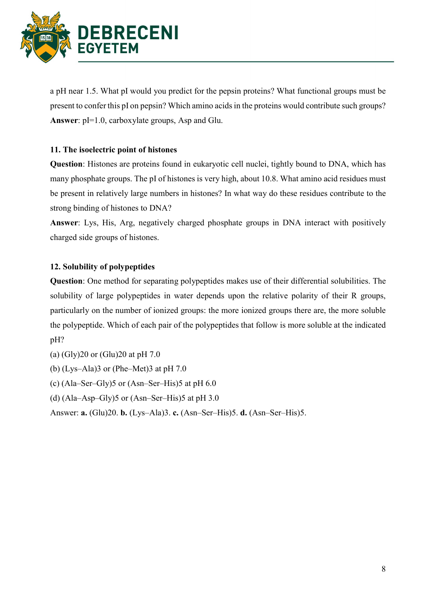

a pH near 1.5. What pI would you predict for the pepsin proteins? What functional groups must be present to confer this pI on pepsin? Which amino acids in the proteins would contribute such groups? Answer:  $pI=1.0$ , carboxylate groups, Asp and Glu.

# 11. The isoelectric point of histones

Question: Histones are proteins found in eukaryotic cell nuclei, tightly bound to DNA, which has many phosphate groups. The pI of histones is very high, about 10.8. What amino acid residues must be present in relatively large numbers in histones? In what way do these residues contribute to the strong binding of histones to DNA?

Answer: Lys, His, Arg, negatively charged phosphate groups in DNA interact with positively charged side groups of histones.

# 12. Solubility of polypeptides

Question: One method for separating polypeptides makes use of their differential solubilities. The solubility of large polypeptides in water depends upon the relative polarity of their R groups, particularly on the number of ionized groups: the more ionized groups there are, the more soluble the polypeptide. Which of each pair of the polypeptides that follow is more soluble at the indicated pH?

- (a) (Gly)20 or (Glu)20 at pH 7.0
- (b)  $(Lvs–Ala)3$  or  $(Phe–Met)3$  at pH 7.0
- (c)  $(Ala-Ser-Gly)5$  or  $(Asn-Ser-His)5$  at pH 6.0
- (d)  $(Ala-Asp-Gly)5$  or  $(Asn-Ser-His)5$  at pH 3.0

Answer: a. (Glu)20. b. (Lys–Ala)3. c. (Asn–Ser–His)5. d. (Asn–Ser–His)5.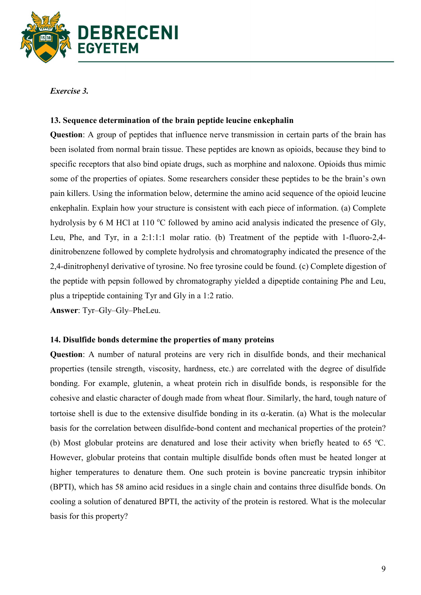

Exercise 3.

### 13. Sequence determination of the brain peptide leucine enkephalin

Question: A group of peptides that influence nerve transmission in certain parts of the brain has been isolated from normal brain tissue. These peptides are known as opioids, because they bind to specific receptors that also bind opiate drugs, such as morphine and naloxone. Opioids thus mimic some of the properties of opiates. Some researchers consider these peptides to be the brain's own pain killers. Using the information below, determine the amino acid sequence of the opioid leucine enkephalin. Explain how your structure is consistent with each piece of information. (a) Complete hydrolysis by 6 M HCl at 110  $\degree$ C followed by amino acid analysis indicated the presence of Gly, Leu, Phe, and Tyr, in a 2:1:1:1 molar ratio. (b) Treatment of the peptide with 1-fluoro-2,4 dinitrobenzene followed by complete hydrolysis and chromatography indicated the presence of the 2,4-dinitrophenyl derivative of tyrosine. No free tyrosine could be found. (c) Complete digestion of the peptide with pepsin followed by chromatography yielded a dipeptide containing Phe and Leu, plus a tripeptide containing Tyr and Gly in a 1:2 ratio.

Answer: Tyr–Gly–Gly–PheLeu.

#### 14. Disulfide bonds determine the properties of many proteins

Question: A number of natural proteins are very rich in disulfide bonds, and their mechanical properties (tensile strength, viscosity, hardness, etc.) are correlated with the degree of disulfide bonding. For example, glutenin, a wheat protein rich in disulfide bonds, is responsible for the cohesive and elastic character of dough made from wheat flour. Similarly, the hard, tough nature of tortoise shell is due to the extensive disulfide bonding in its  $\alpha$ -keratin. (a) What is the molecular basis for the correlation between disulfide-bond content and mechanical properties of the protein? (b) Most globular proteins are denatured and lose their activity when briefly heated to 65  $^{\circ}$ C. However, globular proteins that contain multiple disulfide bonds often must be heated longer at higher temperatures to denature them. One such protein is bovine pancreatic trypsin inhibitor (BPTI), which has 58 amino acid residues in a single chain and contains three disulfide bonds. On cooling a solution of denatured BPTI, the activity of the protein is restored. What is the molecular basis for this property?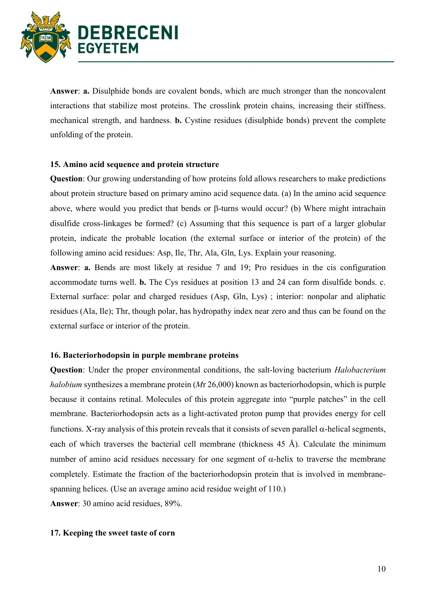

Answer: a. Disulphide bonds are covalent bonds, which are much stronger than the noncovalent interactions that stabilize most proteins. The crosslink protein chains, increasing their stiffness. mechanical strength, and hardness. b. Cystine residues (disulphide bonds) prevent the complete unfolding of the protein.

#### 15. Amino acid sequence and protein structure

Question: Our growing understanding of how proteins fold allows researchers to make predictions about protein structure based on primary amino acid sequence data. (a) In the amino acid sequence above, where would you predict that bends or  $\beta$ -turns would occur? (b) Where might intrachain disulfide cross-linkages be formed? (c) Assuming that this sequence is part of a larger globular protein, indicate the probable location (the external surface or interior of the protein) of the following amino acid residues: Asp, Ile, Thr, Ala, Gln, Lys. Explain your reasoning.

Answer: a. Bends are most likely at residue 7 and 19; Pro residues in the cis configuration accommodate turns well. b. The Cys residues at position 13 and 24 can form disulfide bonds. c. External surface: polar and charged residues (Asp, Gln, Lys) ; interior: nonpolar and aliphatic residues (Ala, Ile); Thr, though polar, has hydropathy index near zero and thus can be found on the external surface or interior of the protein.

### 16. Bacteriorhodopsin in purple membrane proteins

Question: Under the proper environmental conditions, the salt-loving bacterium Halobacterium halobium synthesizes a membrane protein  $(Mr 26,000)$  known as bacteriorhodopsin, which is purple because it contains retinal. Molecules of this protein aggregate into "purple patches" in the cell membrane. Bacteriorhodopsin acts as a light-activated proton pump that provides energy for cell functions. X-ray analysis of this protein reveals that it consists of seven parallel  $\alpha$ -helical segments, each of which traverses the bacterial cell membrane (thickness 45 Å). Calculate the minimum number of amino acid residues necessary for one segment of  $\alpha$ -helix to traverse the membrane completely. Estimate the fraction of the bacteriorhodopsin protein that is involved in membranespanning helices. (Use an average amino acid residue weight of 110.) Answer: 30 amino acid residues, 89%.

#### 17. Keeping the sweet taste of corn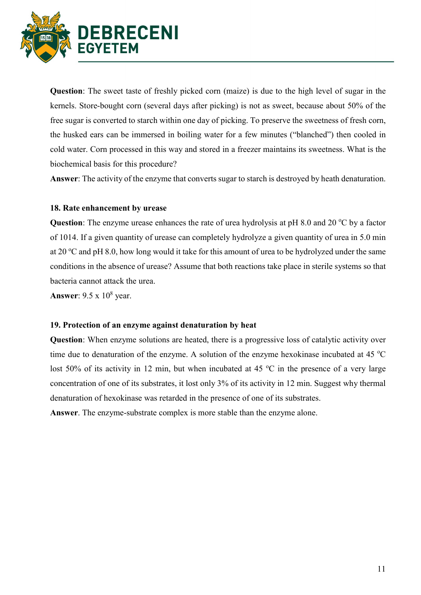

Question: The sweet taste of freshly picked corn (maize) is due to the high level of sugar in the kernels. Store-bought corn (several days after picking) is not as sweet, because about 50% of the free sugar is converted to starch within one day of picking. To preserve the sweetness of fresh corn, the husked ears can be immersed in boiling water for a few minutes ("blanched") then cooled in cold water. Corn processed in this way and stored in a freezer maintains its sweetness. What is the biochemical basis for this procedure?

Answer: The activity of the enzyme that converts sugar to starch is destroyed by heath denaturation.

### 18. Rate enhancement by urease

**Question:** The enzyme urease enhances the rate of urea hydrolysis at pH 8.0 and 20  $^{\circ}$ C by a factor of 1014. If a given quantity of urease can completely hydrolyze a given quantity of urea in 5.0 min at 20  $^{\circ}$ C and pH 8.0, how long would it take for this amount of urea to be hydrolyzed under the same conditions in the absence of urease? Assume that both reactions take place in sterile systems so that bacteria cannot attack the urea.

Answer:  $9.5 \times 10^8$  year.

#### 19. Protection of an enzyme against denaturation by heat

Question: When enzyme solutions are heated, there is a progressive loss of catalytic activity over time due to denaturation of the enzyme. A solution of the enzyme hexokinase incubated at 45  $^{\circ}$ C lost 50% of its activity in 12 min, but when incubated at 45  $\degree$ C in the presence of a very large concentration of one of its substrates, it lost only 3% of its activity in 12 min. Suggest why thermal denaturation of hexokinase was retarded in the presence of one of its substrates.

Answer. The enzyme-substrate complex is more stable than the enzyme alone.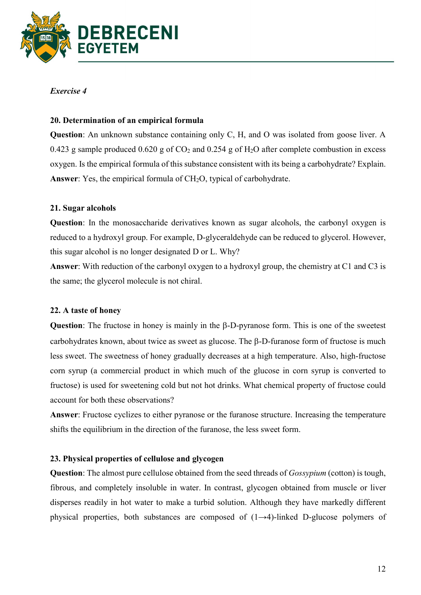

# Exercise 4

# 20. Determination of an empirical formula

Question: An unknown substance containing only C, H, and O was isolated from goose liver. A 0.423 g sample produced  $0.620$  g of  $CO<sub>2</sub>$  and  $0.254$  g of  $H<sub>2</sub>O$  after complete combustion in excess oxygen. Is the empirical formula of this substance consistent with its being a carbohydrate? Explain. Answer: Yes, the empirical formula of  $CH<sub>2</sub>O$ , typical of carbohydrate.

# 21. Sugar alcohols

Question: In the monosaccharide derivatives known as sugar alcohols, the carbonyl oxygen is reduced to a hydroxyl group. For example, D-glyceraldehyde can be reduced to glycerol. However, this sugar alcohol is no longer designated D or L. Why?

Answer: With reduction of the carbonyl oxygen to a hydroxyl group, the chemistry at C1 and C3 is the same; the glycerol molecule is not chiral.

### 22. A taste of honey

Question: The fructose in honey is mainly in the  $\beta$ -D-pyranose form. This is one of the sweetest carbohydrates known, about twice as sweet as glucose. The  $\beta$ -D-furanose form of fructose is much less sweet. The sweetness of honey gradually decreases at a high temperature. Also, high-fructose corn syrup (a commercial product in which much of the glucose in corn syrup is converted to fructose) is used for sweetening cold but not hot drinks. What chemical property of fructose could account for both these observations?

Answer: Fructose cyclizes to either pyranose or the furanose structure. Increasing the temperature shifts the equilibrium in the direction of the furanose, the less sweet form.

### 23. Physical properties of cellulose and glycogen

Question: The almost pure cellulose obtained from the seed threads of Gossypium (cotton) is tough, fibrous, and completely insoluble in water. In contrast, glycogen obtained from muscle or liver disperses readily in hot water to make a turbid solution. Although they have markedly different physical properties, both substances are composed of (1→4)-linked D-glucose polymers of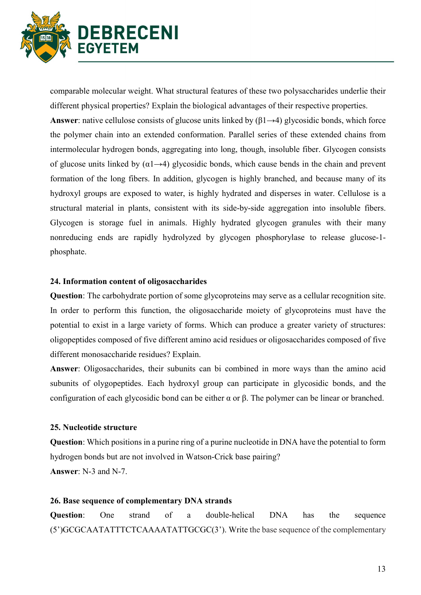

comparable molecular weight. What structural features of these two polysaccharides underlie their different physical properties? Explain the biological advantages of their respective properties.

Answer: native cellulose consists of glucose units linked by  $(\beta1\rightarrow4)$  glycosidic bonds, which force the polymer chain into an extended conformation. Parallel series of these extended chains from intermolecular hydrogen bonds, aggregating into long, though, insoluble fiber. Glycogen consists of glucose units linked by  $(\alpha_1 \rightarrow 4)$  glycosidic bonds, which cause bends in the chain and prevent formation of the long fibers. In addition, glycogen is highly branched, and because many of its hydroxyl groups are exposed to water, is highly hydrated and disperses in water. Cellulose is a structural material in plants, consistent with its side-by-side aggregation into insoluble fibers. Glycogen is storage fuel in animals. Highly hydrated glycogen granules with their many nonreducing ends are rapidly hydrolyzed by glycogen phosphorylase to release glucose-1 phosphate.

#### 24. Information content of oligosaccharides

Question: The carbohydrate portion of some glycoproteins may serve as a cellular recognition site. In order to perform this function, the oligosaccharide moiety of glycoproteins must have the potential to exist in a large variety of forms. Which can produce a greater variety of structures: oligopeptides composed of five different amino acid residues or oligosaccharides composed of five different monosaccharide residues? Explain.

Answer: Oligosaccharides, their subunits can bi combined in more ways than the amino acid subunits of olygopeptides. Each hydroxyl group can participate in glycosidic bonds, and the configuration of each glycosidic bond can be either α or β. The polymer can be linear or branched.

#### 25. Nucleotide structure

Question: Which positions in a purine ring of a purine nucleotide in DNA have the potential to form hydrogen bonds but are not involved in Watson-Crick base pairing? Answer: N-3 and N-7.

#### 26. Base sequence of complementary DNA strands

Question: One strand of a double-helical DNA has the sequence (5')GCGCAATATTTCTCAAAATATTGCGC(3'). Write the base sequence of the complementary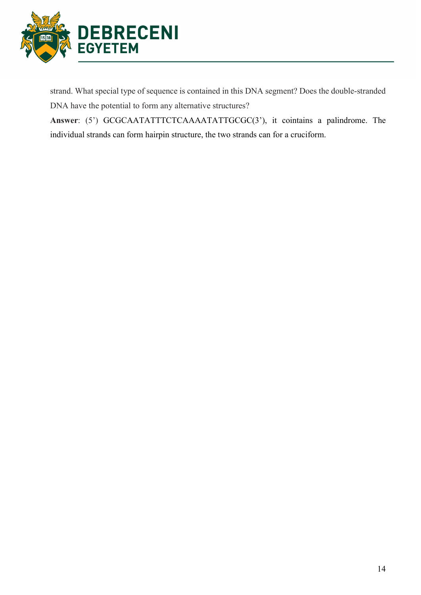

strand. What special type of sequence is contained in this DNA segment? Does the double-stranded DNA have the potential to form any alternative structures?

Answer: (5') GCGCAATATTTCTCAAAATATTGCGC(3'), it cointains a palindrome. The individual strands can form hairpin structure, the two strands can for a cruciform.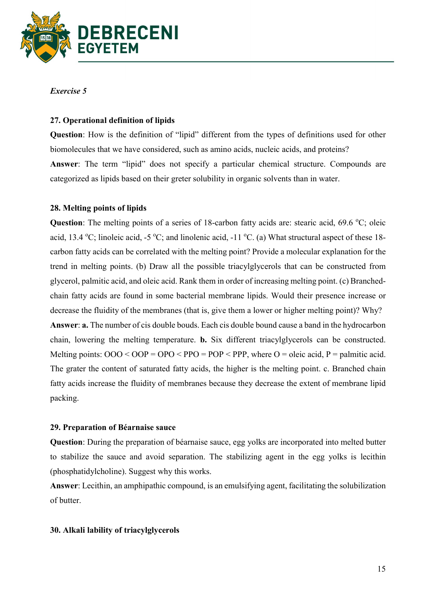

### Exercise 5

### 27. Operational definition of lipids

Question: How is the definition of "lipid" different from the types of definitions used for other biomolecules that we have considered, such as amino acids, nucleic acids, and proteins? Answer: The term "lipid" does not specify a particular chemical structure. Compounds are categorized as lipids based on their greter solubility in organic solvents than in water.

### 28. Melting points of lipids

**Question:** The melting points of a series of 18-carbon fatty acids are: stearic acid,  $69.6$  °C; oleic acid, 13.4 °C; linoleic acid, -5 °C; and linolenic acid, -11 °C. (a) What structural aspect of these 18carbon fatty acids can be correlated with the melting point? Provide a molecular explanation for the trend in melting points. (b) Draw all the possible triacylglycerols that can be constructed from glycerol, palmitic acid, and oleic acid. Rank them in order of increasing melting point. (c) Branchedchain fatty acids are found in some bacterial membrane lipids. Would their presence increase or decrease the fluidity of the membranes (that is, give them a lower or higher melting point)? Why? Answer: a. The number of cis double bouds. Each cis double bound cause a band in the hydrocarbon chain, lowering the melting temperature. b. Six different triacylglycerols can be constructed. Melting points:  $OOO < OOP = OPO < PPO = POP < PPP$ , where  $O =$  oleic acid,  $P =$  palmitic acid. The grater the content of saturated fatty acids, the higher is the melting point. c. Branched chain fatty acids increase the fluidity of membranes because they decrease the extent of membrane lipid packing.

#### 29. Preparation of Béarnaise sauce

Question: During the preparation of béarnaise sauce, egg yolks are incorporated into melted butter to stabilize the sauce and avoid separation. The stabilizing agent in the egg yolks is lecithin (phosphatidylcholine). Suggest why this works.

Answer: Lecithin, an amphipathic compound, is an emulsifying agent, facilitating the solubilization of butter.

#### 30. Alkali lability of triacylglycerols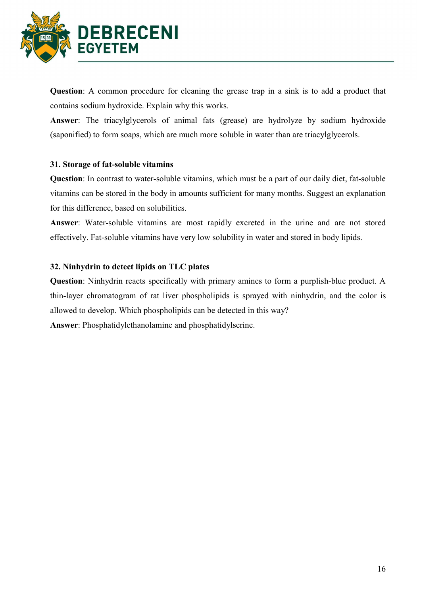

Question: A common procedure for cleaning the grease trap in a sink is to add a product that contains sodium hydroxide. Explain why this works.

Answer: The triacylglycerols of animal fats (grease) are hydrolyze by sodium hydroxide (saponified) to form soaps, which are much more soluble in water than are triacylglycerols.

### 31. Storage of fat-soluble vitamins

Question: In contrast to water-soluble vitamins, which must be a part of our daily diet, fat-soluble vitamins can be stored in the body in amounts sufficient for many months. Suggest an explanation for this difference, based on solubilities.

Answer: Water-soluble vitamins are most rapidly excreted in the urine and are not stored effectively. Fat-soluble vitamins have very low solubility in water and stored in body lipids.

### 32. Ninhydrin to detect lipids on TLC plates

Question: Ninhydrin reacts specifically with primary amines to form a purplish-blue product. A thin-layer chromatogram of rat liver phospholipids is sprayed with ninhydrin, and the color is allowed to develop. Which phospholipids can be detected in this way?

Answer: Phosphatidylethanolamine and phosphatidylserine.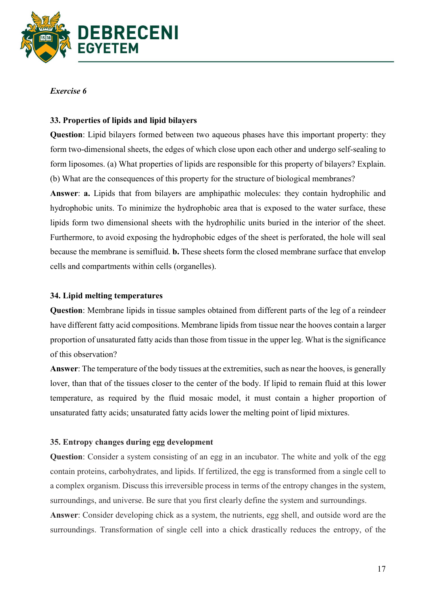

### Exercise 6

### 33. Properties of lipids and lipid bilayers

Question: Lipid bilayers formed between two aqueous phases have this important property: they form two-dimensional sheets, the edges of which close upon each other and undergo self-sealing to form liposomes. (a) What properties of lipids are responsible for this property of bilayers? Explain. (b) What are the consequences of this property for the structure of biological membranes?

Answer: a. Lipids that from bilayers are amphipathic molecules: they contain hydrophilic and hydrophobic units. To minimize the hydrophobic area that is exposed to the water surface, these lipids form two dimensional sheets with the hydrophilic units buried in the interior of the sheet. Furthermore, to avoid exposing the hydrophobic edges of the sheet is perforated, the hole will seal because the membrane is semifluid. b. These sheets form the closed membrane surface that envelop cells and compartments within cells (organelles).

### 34. Lipid melting temperatures

Question: Membrane lipids in tissue samples obtained from different parts of the leg of a reindeer have different fatty acid compositions. Membrane lipids from tissue near the hooves contain a larger proportion of unsaturated fatty acids than those from tissue in the upper leg. What is the significance of this observation?

Answer: The temperature of the body tissues at the extremities, such as near the hooves, is generally lover, than that of the tissues closer to the center of the body. If lipid to remain fluid at this lower temperature, as required by the fluid mosaic model, it must contain a higher proportion of unsaturated fatty acids; unsaturated fatty acids lower the melting point of lipid mixtures.

#### 35. Entropy changes during egg development

Question: Consider a system consisting of an egg in an incubator. The white and yolk of the egg contain proteins, carbohydrates, and lipids. If fertilized, the egg is transformed from a single cell to a complex organism. Discuss this irreversible process in terms of the entropy changes in the system, surroundings, and universe. Be sure that you first clearly define the system and surroundings.

Answer: Consider developing chick as a system, the nutrients, egg shell, and outside word are the surroundings. Transformation of single cell into a chick drastically reduces the entropy, of the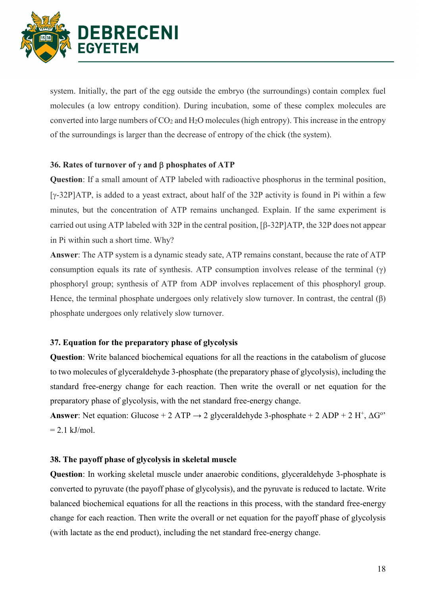

system. Initially, the part of the egg outside the embryo (the surroundings) contain complex fuel molecules (a low entropy condition). During incubation, some of these complex molecules are converted into large numbers of  $CO<sub>2</sub>$  and  $H<sub>2</sub>O$  molecules (high entropy). This increase in the entropy of the surroundings is larger than the decrease of entropy of the chick (the system).

### 36. Rates of turnover of  $\gamma$  and  $\beta$  phosphates of ATP

Question: If a small amount of ATP labeled with radioactive phosphorus in the terminal position,  $[\gamma$ -32P]ATP, is added to a yeast extract, about half of the 32P activity is found in Pi within a few minutes, but the concentration of ATP remains unchanged. Explain. If the same experiment is carried out using ATP labeled with 32P in the central position,  $[ $\beta$ -32P]ATP$ , the 32P does not appear in Pi within such a short time. Why?

Answer: The ATP system is a dynamic steady sate, ATP remains constant, because the rate of ATP consumption equals its rate of synthesis. ATP consumption involves release of the terminal  $(\gamma)$ phosphoryl group; synthesis of ATP from ADP involves replacement of this phosphoryl group. Hence, the terminal phosphate undergoes only relatively slow turnover. In contrast, the central  $(\beta)$ phosphate undergoes only relatively slow turnover.

# 37. Equation for the preparatory phase of glycolysis

Question: Write balanced biochemical equations for all the reactions in the catabolism of glucose to two molecules of glyceraldehyde 3-phosphate (the preparatory phase of glycolysis), including the standard free-energy change for each reaction. Then write the overall or net equation for the preparatory phase of glycolysis, with the net standard free-energy change.

Answer: Net equation: Glucose + 2 ATP  $\rightarrow$  2 glyceraldehyde 3-phosphate + 2 ADP + 2 H<sup>+</sup>,  $\Delta G^{\circ}$  $= 2.1$  kJ/mol.

### 38. The payoff phase of glycolysis in skeletal muscle

Question: In working skeletal muscle under anaerobic conditions, glyceraldehyde 3-phosphate is converted to pyruvate (the payoff phase of glycolysis), and the pyruvate is reduced to lactate. Write balanced biochemical equations for all the reactions in this process, with the standard free-energy change for each reaction. Then write the overall or net equation for the payoff phase of glycolysis (with lactate as the end product), including the net standard free-energy change.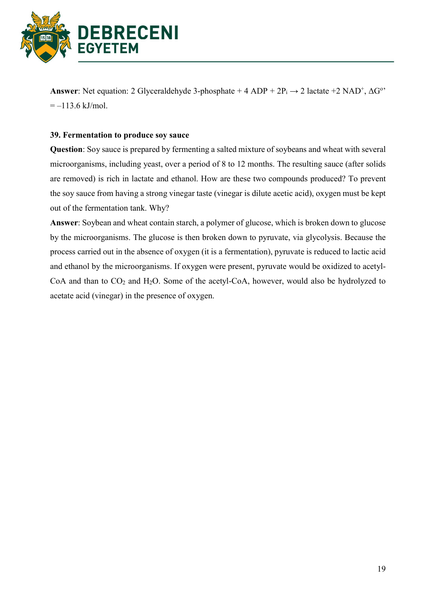

Answer: Net equation: 2 Glyceraldehyde 3-phosphate + 4 ADP +  $2P_i \rightarrow 2$  lactate +2 NAD<sup>+</sup>,  $\Delta G^{\circ}$ <sup>\*</sup>  $=-113.6$  kJ/mol.

### 39. Fermentation to produce soy sauce

Question: Soy sauce is prepared by fermenting a salted mixture of soybeans and wheat with several microorganisms, including yeast, over a period of 8 to 12 months. The resulting sauce (after solids are removed) is rich in lactate and ethanol. How are these two compounds produced? To prevent the soy sauce from having a strong vinegar taste (vinegar is dilute acetic acid), oxygen must be kept out of the fermentation tank. Why?

Answer: Soybean and wheat contain starch, a polymer of glucose, which is broken down to glucose by the microorganisms. The glucose is then broken down to pyruvate, via glycolysis. Because the process carried out in the absence of oxygen (it is a fermentation), pyruvate is reduced to lactic acid and ethanol by the microorganisms. If oxygen were present, pyruvate would be oxidized to acetyl-CoA and than to  $CO_2$  and  $H_2O$ . Some of the acetyl-CoA, however, would also be hydrolyzed to acetate acid (vinegar) in the presence of oxygen.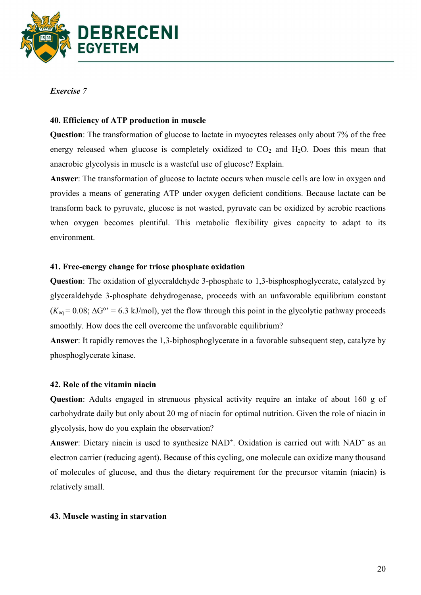

### Exercise 7

# 40. Efficiency of ATP production in muscle

Question: The transformation of glucose to lactate in myocytes releases only about 7% of the free energy released when glucose is completely oxidized to  $CO<sub>2</sub>$  and  $H<sub>2</sub>O$ . Does this mean that anaerobic glycolysis in muscle is a wasteful use of glucose? Explain.

Answer: The transformation of glucose to lactate occurs when muscle cells are low in oxygen and provides a means of generating ATP under oxygen deficient conditions. Because lactate can be transform back to pyruvate, glucose is not wasted, pyruvate can be oxidized by aerobic reactions when oxygen becomes plentiful. This metabolic flexibility gives capacity to adapt to its environment.

### 41. Free-energy change for triose phosphate oxidation

Question: The oxidation of glyceraldehyde 3-phosphate to 1,3-bisphosphoglycerate, catalyzed by glyceraldehyde 3-phosphate dehydrogenase, proceeds with an unfavorable equilibrium constant  $(K_{eq} = 0.08; \Delta G^{\circ} = 6.3 \text{ kJ/mol}$ , yet the flow through this point in the glycolytic pathway proceeds smoothly. How does the cell overcome the unfavorable equilibrium?

Answer: It rapidly removes the 1,3-biphosphoglycerate in a favorable subsequent step, catalyze by phosphoglycerate kinase.

#### 42. Role of the vitamin niacin

Question: Adults engaged in strenuous physical activity require an intake of about 160 g of carbohydrate daily but only about 20 mg of niacin for optimal nutrition. Given the role of niacin in glycolysis, how do you explain the observation?

Answer: Dietary niacin is used to synthesize  $NAD<sup>+</sup>$ . Oxidation is carried out with  $NAD<sup>+</sup>$  as an electron carrier (reducing agent). Because of this cycling, one molecule can oxidize many thousand of molecules of glucose, and thus the dietary requirement for the precursor vitamin (niacin) is relatively small.

#### 43. Muscle wasting in starvation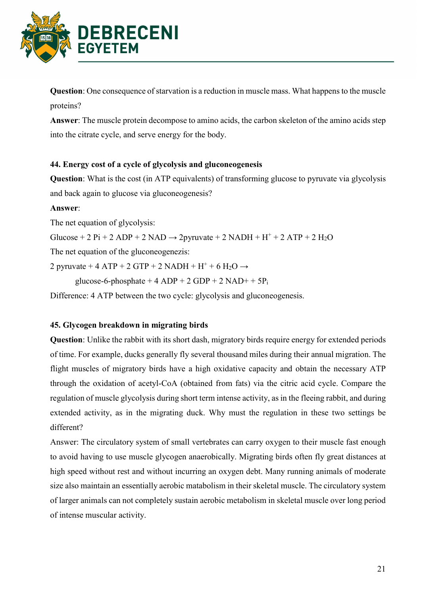

Question: One consequence of starvation is a reduction in muscle mass. What happens to the muscle proteins?

Answer: The muscle protein decompose to amino acids, the carbon skeleton of the amino acids step into the citrate cycle, and serve energy for the body.

# 44. Energy cost of a cycle of glycolysis and gluconeogenesis

Question: What is the cost (in ATP equivalents) of transforming glucose to pyruvate via glycolysis and back again to glucose via gluconeogenesis?

# Answer:

The net equation of glycolysis:

Glucose + 2 Pi + 2 ADP + 2 NAD  $\rightarrow$  2pyruvate + 2 NADH + H<sup>+</sup> + 2 ATP + 2 H<sub>2</sub>O

The net equation of the gluconeogenezis:

2 pyruvate + 4 ATP + 2 GTP + 2 NADH +  $H^+$  + 6 H<sub>2</sub>O  $\rightarrow$ 

glucose-6-phosphate + 4 ADP + 2 GDP + 2 NAD+ +  $5P_i$ 

Difference: 4 ATP between the two cycle: glycolysis and gluconeogenesis.

### 45. Glycogen breakdown in migrating birds

Question: Unlike the rabbit with its short dash, migratory birds require energy for extended periods of time. For example, ducks generally fly several thousand miles during their annual migration. The flight muscles of migratory birds have a high oxidative capacity and obtain the necessary ATP through the oxidation of acetyl-CoA (obtained from fats) via the citric acid cycle. Compare the regulation of muscle glycolysis during short term intense activity, as in the fleeing rabbit, and during extended activity, as in the migrating duck. Why must the regulation in these two settings be different?

Answer: The circulatory system of small vertebrates can carry oxygen to their muscle fast enough to avoid having to use muscle glycogen anaerobically. Migrating birds often fly great distances at high speed without rest and without incurring an oxygen debt. Many running animals of moderate size also maintain an essentially aerobic matabolism in their skeletal muscle. The circulatory system of larger animals can not completely sustain aerobic metabolism in skeletal muscle over long period of intense muscular activity.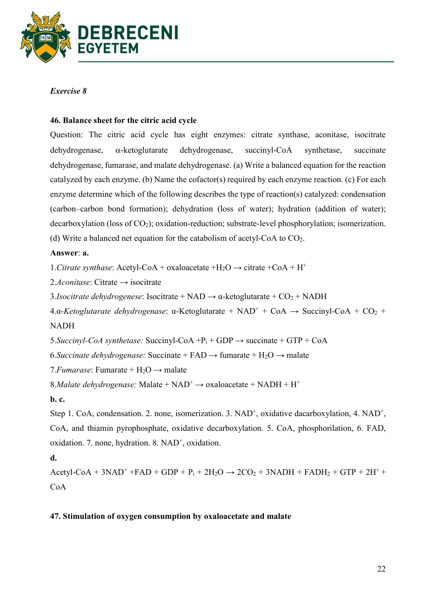

# Exercise 8

# 46. Balance sheet for the citric acid cycle

Question: The citric acid cycle has eight enzymes: citrate synthase, aconitase, isocitrate  $dehydrogenase$ ,  $\alpha$ -ketoglutarate dehydrogenase, succinyl-CoA synthetase, succinate dehydrogenase, fumarase, and malate dehydrogenase. (a) Write a balanced equation for the reaction catalyzed by each enzyme. (b) Name the cofactor(s) required by each enzyme reaction. (c) For each enzyme determine which of the following describes the type of reaction(s) catalyzed: condensation (carbon–carbon bond formation); dehydration (loss of water); hydration (addition of water); decarboxylation (loss of  $CO<sub>2</sub>$ ); oxidation-reduction; substrate-level phosphorylation; isomerization. (d) Write a balanced net equation for the catabolism of acetyl-CoA to  $CO<sub>2</sub>$ .

# Answer: a.

1. Citrate synthase: Acetyl-CoA + oxaloacetate +H<sub>2</sub>O  $\rightarrow$  citrate +CoA + H<sup>+</sup>

2.Aconitase: Citrate  $\rightarrow$  isocitrate

3.*Isocitrate dehydrogenese*: Isocitrate + NAD  $\rightarrow \alpha$ -ketoglutarate + CO<sub>2</sub> + NADH

4.α-Ketoglutarate dehydrogenase: α-Ketoglutarate + NAD<sup>+</sup> + CoA  $\rightarrow$  Succinyl-CoA + CO<sub>2</sub> + NADH

5. Succinyl-CoA synthetase: Succinyl-CoA +P<sub>i</sub> + GDP  $\rightarrow$  succinate + GTP + CoA

6. Succinate dehydrogenase: Succinate + FAD  $\rightarrow$  fumarate + H<sub>2</sub>O  $\rightarrow$  malate

7. Fumarase: Fumarate +  $H_2O \rightarrow$  malate

8. Malate dehydrogenase: Malate +  $NAD^+ \rightarrow$  oxaloacetate +  $NADH + H^+$ 

b. c.

Step 1. CoA, condensation. 2. none, isomerization. 3. NAD<sup>+</sup>, oxidative dacarboxylation, 4. NAD<sup>+</sup>, CoA, and thiamin pyrophosphate, oxidative decarboxylation. 5. CoA, phosphorilation, 6. FAD, oxidation. 7. none, hydration. 8. NAD<sup>+</sup>, oxidation.

d.

 $Acetyl-CoA + 3NAD<sup>+</sup> + FAD + GDP + P<sub>i</sub> + 2H<sub>2</sub>O \rightarrow 2CO<sub>2</sub> + 3NADH + FADH<sub>2</sub> + GTP + 2H<sup>+</sup> +$ CoA

### 47. Stimulation of oxygen consumption by oxaloacetate and malate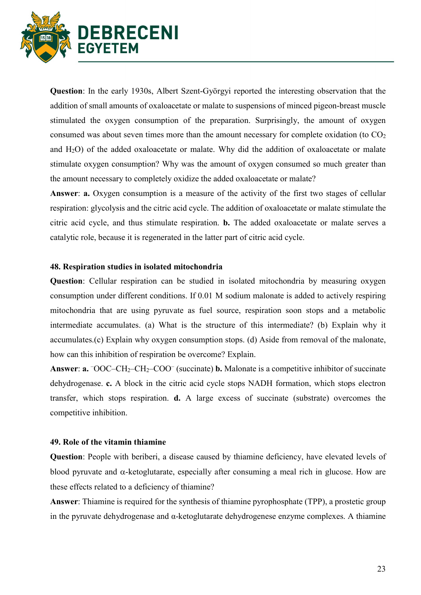

Question: In the early 1930s, Albert Szent-Györgyi reported the interesting observation that the addition of small amounts of oxaloacetate or malate to suspensions of minced pigeon-breast muscle stimulated the oxygen consumption of the preparation. Surprisingly, the amount of oxygen consumed was about seven times more than the amount necessary for complete oxidation (to CO<sup>2</sup> and H2O) of the added oxaloacetate or malate. Why did the addition of oxaloacetate or malate stimulate oxygen consumption? Why was the amount of oxygen consumed so much greater than the amount necessary to completely oxidize the added oxaloacetate or malate?

Answer: a. Oxygen consumption is a measure of the activity of the first two stages of cellular respiration: glycolysis and the citric acid cycle. The addition of oxaloacetate or malate stimulate the citric acid cycle, and thus stimulate respiration. b. The added oxaloacetate or malate serves a catalytic role, because it is regenerated in the latter part of citric acid cycle.

#### 48. Respiration studies in isolated mitochondria

Question: Cellular respiration can be studied in isolated mitochondria by measuring oxygen consumption under different conditions. If 0.01 M sodium malonate is added to actively respiring mitochondria that are using pyruvate as fuel source, respiration soon stops and a metabolic intermediate accumulates. (a) What is the structure of this intermediate? (b) Explain why it accumulates.(c) Explain why oxygen consumption stops. (d) Aside from removal of the malonate, how can this inhibition of respiration be overcome? Explain.

Answer:  $a. \overline{OOC - CH_2 - CH_2 - COO}$  (succinate) **b.** Malonate is a competitive inhibitor of succinate dehydrogenase. c. A block in the citric acid cycle stops NADH formation, which stops electron transfer, which stops respiration. d. A large excess of succinate (substrate) overcomes the competitive inhibition.

#### 49. Role of the vitamin thiamine

Question: People with beriberi, a disease caused by thiamine deficiency, have elevated levels of blood pyruvate and  $\alpha$ -ketoglutarate, especially after consuming a meal rich in glucose. How are these effects related to a deficiency of thiamine?

Answer: Thiamine is required for the synthesis of thiamine pyrophosphate (TPP), a prostetic group in the pyruvate dehydrogenase and  $\alpha$ -ketoglutarate dehydrogenese enzyme complexes. A thiamine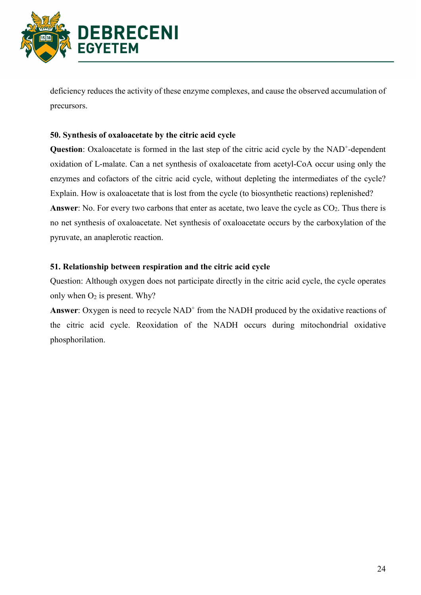

deficiency reduces the activity of these enzyme complexes, and cause the observed accumulation of precursors.

### 50. Synthesis of oxaloacetate by the citric acid cycle

Question: Oxaloacetate is formed in the last step of the citric acid cycle by the NAD<sup>+</sup>-dependent oxidation of L-malate. Can a net synthesis of oxaloacetate from acetyl-CoA occur using only the enzymes and cofactors of the citric acid cycle, without depleting the intermediates of the cycle? Explain. How is oxaloacetate that is lost from the cycle (to biosynthetic reactions) replenished? **Answer:** No. For every two carbons that enter as acetate, two leave the cycle as  $CO<sub>2</sub>$ . Thus there is no net synthesis of oxaloacetate. Net synthesis of oxaloacetate occurs by the carboxylation of the pyruvate, an anaplerotic reaction.

# 51. Relationship between respiration and the citric acid cycle

Question: Although oxygen does not participate directly in the citric acid cycle, the cycle operates only when  $O_2$  is present. Why?

Answer: Oxygen is need to recycle  $NAD<sup>+</sup>$  from the NADH produced by the oxidative reactions of the citric acid cycle. Reoxidation of the NADH occurs during mitochondrial oxidative phosphorilation.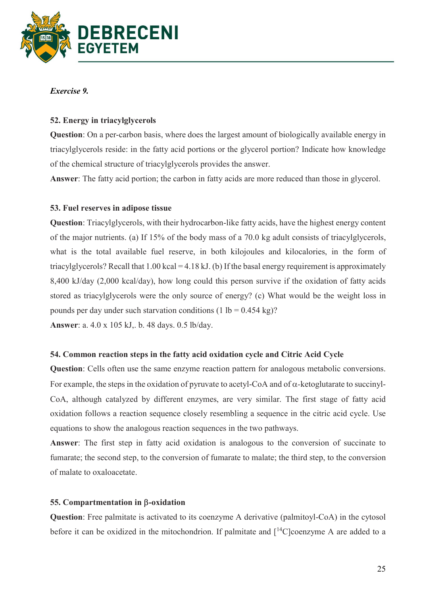

### Exercise 9.

### 52. Energy in triacylglycerols

Question: On a per-carbon basis, where does the largest amount of biologically available energy in triacylglycerols reside: in the fatty acid portions or the glycerol portion? Indicate how knowledge of the chemical structure of triacylglycerols provides the answer.

Answer: The fatty acid portion; the carbon in fatty acids are more reduced than those in glycerol.

### 53. Fuel reserves in adipose tissue

Question: Triacylglycerols, with their hydrocarbon-like fatty acids, have the highest energy content of the major nutrients. (a) If 15% of the body mass of a 70.0 kg adult consists of triacylglycerols, what is the total available fuel reserve, in both kilojoules and kilocalories, in the form of triacylglycerols? Recall that  $1.00$  kcal = 4.18 kJ. (b) If the basal energy requirement is approximately 8,400 kJ/day (2,000 kcal/day), how long could this person survive if the oxidation of fatty acids stored as triacylglycerols were the only source of energy? (c) What would be the weight loss in pounds per day under such starvation conditions  $(1 lb = 0.454 kg)?$ Answer: a. 4.0 x 105 kJ,. b. 48 days. 0.5 lb/day.

#### 54. Common reaction steps in the fatty acid oxidation cycle and Citric Acid Cycle

Question: Cells often use the same enzyme reaction pattern for analogous metabolic conversions. For example, the steps in the oxidation of pyruvate to acetyl-CoA and of  $\alpha$ -ketoglutarate to succinyl-CoA, although catalyzed by different enzymes, are very similar. The first stage of fatty acid oxidation follows a reaction sequence closely resembling a sequence in the citric acid cycle. Use equations to show the analogous reaction sequences in the two pathways.

Answer: The first step in fatty acid oxidation is analogous to the conversion of succinate to fumarate; the second step, to the conversion of fumarate to malate; the third step, to the conversion of malate to oxaloacetate.

#### 55. Compartmentation in  $\beta$ -oxidation

Question: Free palmitate is activated to its coenzyme A derivative (palmitoyl-CoA) in the cytosol before it can be oxidized in the mitochondrion. If palmitate and  $\lceil {^{14}C}\rceil$ coenzyme A are added to a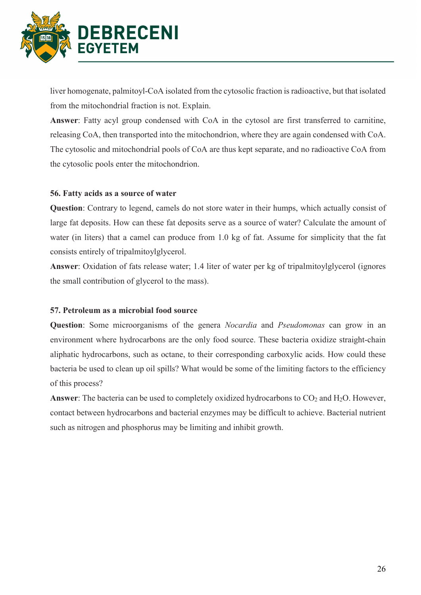

liver homogenate, palmitoyl-CoA isolated from the cytosolic fraction is radioactive, but that isolated from the mitochondrial fraction is not. Explain.

Answer: Fatty acyl group condensed with CoA in the cytosol are first transferred to carnitine, releasing CoA, then transported into the mitochondrion, where they are again condensed with CoA. The cytosolic and mitochondrial pools of CoA are thus kept separate, and no radioactive CoA from the cytosolic pools enter the mitochondrion.

# 56. Fatty acids as a source of water

Question: Contrary to legend, camels do not store water in their humps, which actually consist of large fat deposits. How can these fat deposits serve as a source of water? Calculate the amount of water (in liters) that a camel can produce from 1.0 kg of fat. Assume for simplicity that the fat consists entirely of tripalmitoylglycerol.

Answer: Oxidation of fats release water; 1.4 liter of water per kg of tripalmitoylglycerol (ignores the small contribution of glycerol to the mass).

### 57. Petroleum as a microbial food source

Question: Some microorganisms of the genera *Nocardia* and *Pseudomonas* can grow in an environment where hydrocarbons are the only food source. These bacteria oxidize straight-chain aliphatic hydrocarbons, such as octane, to their corresponding carboxylic acids. How could these bacteria be used to clean up oil spills? What would be some of the limiting factors to the efficiency of this process?

**Answer:** The bacteria can be used to completely oxidized hydrocarbons to  $CO<sub>2</sub>$  and  $H<sub>2</sub>O$ . However, contact between hydrocarbons and bacterial enzymes may be difficult to achieve. Bacterial nutrient such as nitrogen and phosphorus may be limiting and inhibit growth.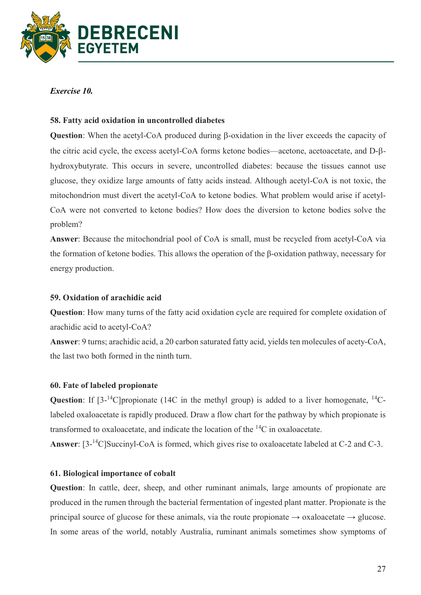

### Exercise 10.

# 58. Fatty acid oxidation in uncontrolled diabetes

Question: When the acetyl-CoA produced during  $\beta$ -oxidation in the liver exceeds the capacity of the citric acid cycle, the excess acetyl-CoA forms ketone bodies—acetone, acetoacetate, and D- $\beta$ hydroxybutyrate. This occurs in severe, uncontrolled diabetes: because the tissues cannot use glucose, they oxidize large amounts of fatty acids instead. Although acetyl-CoA is not toxic, the mitochondrion must divert the acetyl-CoA to ketone bodies. What problem would arise if acetyl-CoA were not converted to ketone bodies? How does the diversion to ketone bodies solve the problem?

Answer: Because the mitochondrial pool of CoA is small, must be recycled from acetyl-CoA via the formation of ketone bodies. This allows the operation of the β-oxidation pathway, necessary for energy production.

### 59. Oxidation of arachidic acid

Question: How many turns of the fatty acid oxidation cycle are required for complete oxidation of arachidic acid to acetyl-CoA?

Answer: 9 turns; arachidic acid, a 20 carbon saturated fatty acid, yields ten molecules of acety-CoA, the last two both formed in the ninth turn.

### 60. Fate of labeled propionate

**Question:** If  $[3^{-14}C]$ propionate (14C in the methyl group) is added to a liver homogenate,  $[14C - 14C]$ labeled oxaloacetate is rapidly produced. Draw a flow chart for the pathway by which propionate is transformed to oxaloacetate, and indicate the location of the <sup>14</sup>C in oxaloacetate.

Answer: [3-<sup>14</sup>C]Succinyl-CoA is formed, which gives rise to oxaloacetate labeled at C-2 and C-3.

# 61. Biological importance of cobalt

Question: In cattle, deer, sheep, and other ruminant animals, large amounts of propionate are produced in the rumen through the bacterial fermentation of ingested plant matter. Propionate is the principal source of glucose for these animals, via the route propionate  $\rightarrow$  oxaloacetate  $\rightarrow$  glucose. In some areas of the world, notably Australia, ruminant animals sometimes show symptoms of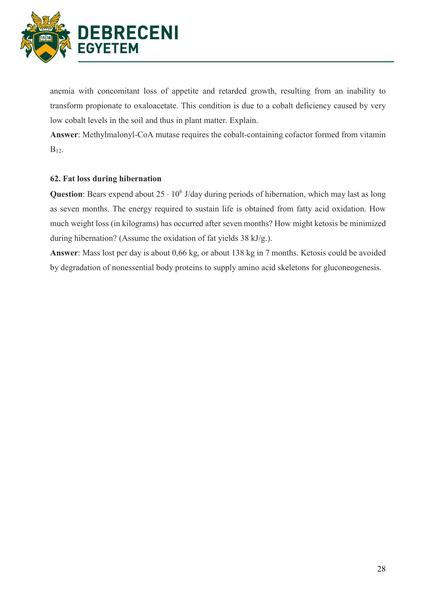

anemia with concomitant loss of appetite and retarded growth, resulting from an inability to transform propionate to oxaloacetate. This condition is due to a cobalt deficiency caused by very low cobalt levels in the soil and thus in plant matter. Explain.

Answer: Methylmalonyl-CoA mutase requires the cobalt-containing cofactor formed from vitamin B12.

### 62. Fat loss during hibernation

Question: Bears expend about  $25 \cdot 10^6$  J/day during periods of hibernation, which may last as long as seven months. The energy required to sustain life is obtained from fatty acid oxidation. How much weight loss (in kilograms) has occurred after seven months? How might ketosis be minimized during hibernation? (Assume the oxidation of fat yields 38 kJ/g.).

Answer: Mass lost per day is about 0,66 kg, or about 138 kg in 7 months. Ketosis could be avoided by degradation of nonessential body proteins to supply amino acid skeletons for gluconeogenesis.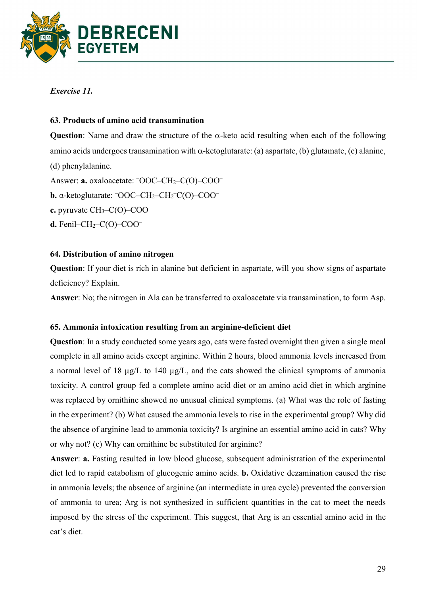

Exercise 11.

### 63. Products of amino acid transamination

Question: Name and draw the structure of the  $\alpha$ -keto acid resulting when each of the following amino acids undergoes transamination with  $\alpha$ -ketoglutarate: (a) aspartate, (b) glutamate, (c) alanine, (d) phenylalanine. Answer: **a.** oxaloacetate:  $\overline{OOC}-CH_2-C(O)-COO^{-}$ **b.** α-ketoglutarate:  $\overline{OOC}-CH_2-CH_2-C(O)-COO^{-}$ c. pyruvate CH3–C(O)–COO– d. Fenil–CH2–C(O)–COO–

### 64. Distribution of amino nitrogen

Question: If your diet is rich in alanine but deficient in aspartate, will you show signs of aspartate deficiency? Explain.

Answer: No; the nitrogen in Ala can be transferred to oxaloacetate via transamination, to form Asp.

### 65. Ammonia intoxication resulting from an arginine-deficient diet

Question: In a study conducted some years ago, cats were fasted overnight then given a single meal complete in all amino acids except arginine. Within 2 hours, blood ammonia levels increased from a normal level of 18 µg/L to 140 µg/L, and the cats showed the clinical symptoms of ammonia toxicity. A control group fed a complete amino acid diet or an amino acid diet in which arginine was replaced by ornithine showed no unusual clinical symptoms. (a) What was the role of fasting in the experiment? (b) What caused the ammonia levels to rise in the experimental group? Why did the absence of arginine lead to ammonia toxicity? Is arginine an essential amino acid in cats? Why or why not? (c) Why can ornithine be substituted for arginine?

Answer: a. Fasting resulted in low blood glucose, subsequent administration of the experimental diet led to rapid catabolism of glucogenic amino acids. b. Oxidative dezamination caused the rise in ammonia levels; the absence of arginine (an intermediate in urea cycle) prevented the conversion of ammonia to urea; Arg is not synthesized in sufficient quantities in the cat to meet the needs imposed by the stress of the experiment. This suggest, that Arg is an essential amino acid in the cat's diet.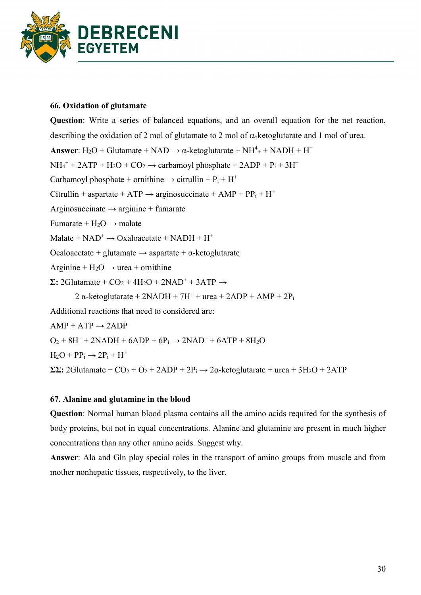

### 66. Oxidation of glutamate

Question: Write a series of balanced equations, and an overall equation for the net reaction, describing the oxidation of 2 mol of glutamate to 2 mol of  $\alpha$ -ketoglutarate and 1 mol of urea. **Answer**:  $H_2O + Glutamate + NAD \rightarrow \alpha$ -ketoglutarate +  $NH^4_+$  +  $NADH + H^+$  $NH_4^+$  + 2ATP + H<sub>2</sub>O + CO<sub>2</sub>  $\rightarrow$  carbamoyl phosphate + 2ADP + P<sub>i</sub> + 3H<sup>+</sup> Carbamoyl phosphate + ornithine  $\rightarrow$  citrullin + P<sub>i</sub> + H<sup>+</sup> Citrullin + aspartate + ATP  $\rightarrow$  arginosuccinate + AMP + PP<sub>i</sub> + H<sup>+</sup> Arginosuccinate  $\rightarrow$  arginine + fumarate Fumarate +  $H_2O \rightarrow$  malate  $Malate + NAD^{+} \rightarrow Oxaloacetate + NADH + H^{+}$ Ocaloacetate + glutamate  $\rightarrow$  aspartate +  $\alpha$ -ketoglutarate Arginine +  $H_2O \rightarrow$  urea + ornithine  $\Sigma$ : 2Glutamate + CO<sub>2</sub> + 4H<sub>2</sub>O + 2NAD<sup>+</sup> + 3ATP  $\rightarrow$ 2  $\alpha$ -ketoglutarate + 2NADH + 7H<sup>+</sup> + urea + 2ADP + AMP + 2 $P_i$ Additional reactions that need to considered are:  $AMP + ATP \rightarrow 2ADP$  $O_2$  + 8H<sup>+</sup> + 2NADH + 6ADP + 6P<sub>i</sub>  $\rightarrow$  2NAD<sup>+</sup> + 6ATP + 8H<sub>2</sub>O  $H_2O + PP_i \rightarrow 2P_i + H^+$  $\Sigma\Sigma$ : 2Glutamate + CO<sub>2</sub> + O<sub>2</sub> + 2ADP + 2P<sub>i</sub>  $\rightarrow$  2α-ketoglutarate + urea + 3H<sub>2</sub>O + 2ATP

# 67. Alanine and glutamine in the blood

Question: Normal human blood plasma contains all the amino acids required for the synthesis of body proteins, but not in equal concentrations. Alanine and glutamine are present in much higher concentrations than any other amino acids. Suggest why.

Answer: Ala and Gln play special roles in the transport of amino groups from muscle and from mother nonhepatic tissues, respectively, to the liver.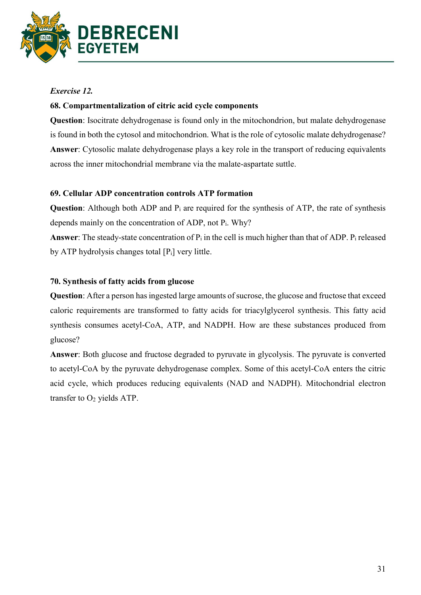

# Exercise 12.

### 68. Compartmentalization of citric acid cycle components

Question: Isocitrate dehydrogenase is found only in the mitochondrion, but malate dehydrogenase is found in both the cytosol and mitochondrion. What is the role of cytosolic malate dehydrogenase? Answer: Cytosolic malate dehydrogenase plays a key role in the transport of reducing equivalents across the inner mitochondrial membrane via the malate-aspartate suttle.

# 69. Cellular ADP concentration controls ATP formation

**Question:** Although both ADP and  $P_i$  are required for the synthesis of ATP, the rate of synthesis depends mainly on the concentration of ADP, not Pi. Why?

Answer: The steady-state concentration of  $P_i$  in the cell is much higher than that of ADP.  $P_i$  released by ATP hydrolysis changes total  $[P_i]$  very little.

# 70. Synthesis of fatty acids from glucose

Question: After a person has ingested large amounts of sucrose, the glucose and fructose that exceed caloric requirements are transformed to fatty acids for triacylglycerol synthesis. This fatty acid synthesis consumes acetyl-CoA, ATP, and NADPH. How are these substances produced from glucose?

Answer: Both glucose and fructose degraded to pyruvate in glycolysis. The pyruvate is converted to acetyl-CoA by the pyruvate dehydrogenase complex. Some of this acetyl-CoA enters the citric acid cycle, which produces reducing equivalents (NAD and NADPH). Mitochondrial electron transfer to  $O<sub>2</sub>$  yields ATP.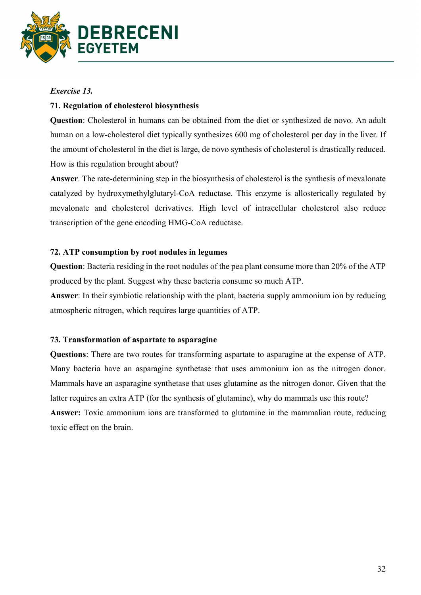

### Exercise 13.

### 71. Regulation of cholesterol biosynthesis

Question: Cholesterol in humans can be obtained from the diet or synthesized de novo. An adult human on a low-cholesterol diet typically synthesizes 600 mg of cholesterol per day in the liver. If the amount of cholesterol in the diet is large, de novo synthesis of cholesterol is drastically reduced. How is this regulation brought about?

Answer. The rate-determining step in the biosynthesis of cholesterol is the synthesis of mevalonate catalyzed by hydroxymethylglutaryl-CoA reductase. This enzyme is allosterically regulated by mevalonate and cholesterol derivatives. High level of intracellular cholesterol also reduce transcription of the gene encoding HMG-CoA reductase.

### 72. ATP consumption by root nodules in legumes

Question: Bacteria residing in the root nodules of the pea plant consume more than 20% of the ATP produced by the plant. Suggest why these bacteria consume so much ATP.

Answer: In their symbiotic relationship with the plant, bacteria supply ammonium ion by reducing atmospheric nitrogen, which requires large quantities of ATP.

### 73. Transformation of aspartate to asparagine

Questions: There are two routes for transforming aspartate to asparagine at the expense of ATP. Many bacteria have an asparagine synthetase that uses ammonium ion as the nitrogen donor. Mammals have an asparagine synthetase that uses glutamine as the nitrogen donor. Given that the latter requires an extra ATP (for the synthesis of glutamine), why do mammals use this route? Answer: Toxic ammonium ions are transformed to glutamine in the mammalian route, reducing toxic effect on the brain.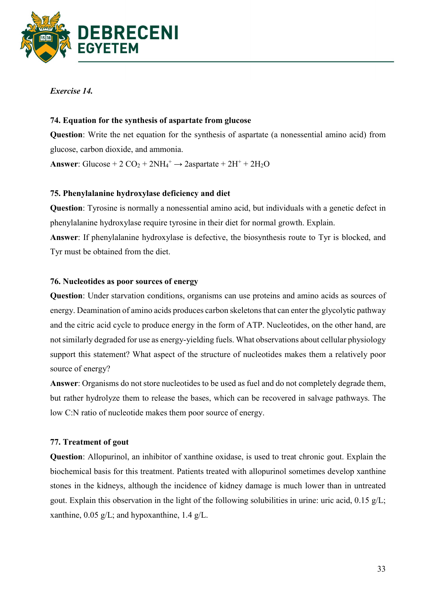

Exercise 14.

# 74. Equation for the synthesis of aspartate from glucose

Question: Write the net equation for the synthesis of aspartate (a nonessential amino acid) from glucose, carbon dioxide, and ammonia.

Answer: Glucose + 2  $CO_2$  + 2NH<sub>4</sub><sup>+</sup>  $\rightarrow$  2aspartate + 2H<sup>+</sup> + 2H<sub>2</sub>O

# 75. Phenylalanine hydroxylase deficiency and diet

Question: Tyrosine is normally a nonessential amino acid, but individuals with a genetic defect in phenylalanine hydroxylase require tyrosine in their diet for normal growth. Explain.

Answer: If phenylalanine hydroxylase is defective, the biosynthesis route to Tyr is blocked, and Tyr must be obtained from the diet.

# 76. Nucleotides as poor sources of energy

Question: Under starvation conditions, organisms can use proteins and amino acids as sources of energy. Deamination of amino acids produces carbon skeletons that can enter the glycolytic pathway and the citric acid cycle to produce energy in the form of ATP. Nucleotides, on the other hand, are not similarly degraded for use as energy-yielding fuels. What observations about cellular physiology support this statement? What aspect of the structure of nucleotides makes them a relatively poor source of energy?

Answer: Organisms do not store nucleotides to be used as fuel and do not completely degrade them, but rather hydrolyze them to release the bases, which can be recovered in salvage pathways. The low C:N ratio of nucleotide makes them poor source of energy.

# 77. Treatment of gout

Question: Allopurinol, an inhibitor of xanthine oxidase, is used to treat chronic gout. Explain the biochemical basis for this treatment. Patients treated with allopurinol sometimes develop xanthine stones in the kidneys, although the incidence of kidney damage is much lower than in untreated gout. Explain this observation in the light of the following solubilities in urine: uric acid, 0.15 g/L; xanthine,  $0.05 \text{ g/L}$ ; and hypoxanthine,  $1.4 \text{ g/L}$ .